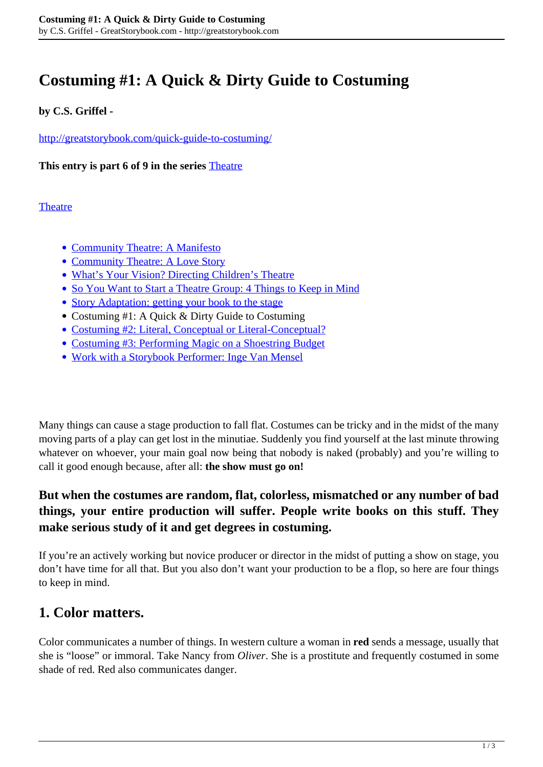# **Costuming #1: A Quick & Dirty Guide to Costuming**

#### **by C.S. Griffel -**

<http://greatstorybook.com/quick-guide-to-costuming/>

**This entry is part 6 of 9 in the series** [Theatre](http://greatstorybook.com/series/theatre/)

**[Theatre](http://greatstorybook.com/series/theatre/)** 

- [Community Theatre: A Manifesto](http://greatstorybook.com/community-theatre-a-manifesto-2/)
- [Community Theatre: A Love Story](http://greatstorybook.com/community-theatre-a-love-story/)
- [What's Your Vision? Directing Children's Theatre](http://greatstorybook.com/your-vision-directing-children/)
- [So You Want to Start a Theatre Group: 4 Things to Keep in Mind](http://greatstorybook.com/start-a-theatre-group/)
- [Story Adaptation: getting your book to the stage](http://greatstorybook.com/adaptation-getting-your-book-to-the-stage/)
- Costuming #1: A Quick & Dirty Guide to Costuming
- [Costuming #2: Literal, Conceptual or Literal-Conceptual?](http://greatstorybook.com/costuming-literal-conceptual-or-both/)
- [Costuming #3: Performing Magic on a Shoestring Budget](http://greatstorybook.com/costuming-performing-magic-on-a-shoestring-budget/)
- [Work with a Storybook Performer: Inge Van Mensel](http://greatstorybook.com/storybook-performer-inge-van-mensel/)

Many things can cause a stage production to fall flat. Costumes can be tricky and in the midst of the many moving parts of a play can get lost in the minutiae. Suddenly you find yourself at the last minute throwing whatever on whoever, your main goal now being that nobody is naked (probably) and you're willing to call it good enough because, after all: **the show must go on!**

#### **But when the costumes are random, flat, colorless, mismatched or any number of bad things, your entire production will suffer. People write books on this stuff. They make serious study of it and get degrees in costuming.**

If you're an actively working but novice producer or director in the midst of putting a show on stage, you don't have time for all that. But you also don't want your production to be a flop, so here are four things to keep in mind.

### **1. Color matters.**

Color communicates a number of things. In western culture a woman in **red** sends a message, usually that she is "loose" or immoral. Take Nancy from *Oliver*. She is a prostitute and frequently costumed in some shade of red. Red also communicates danger.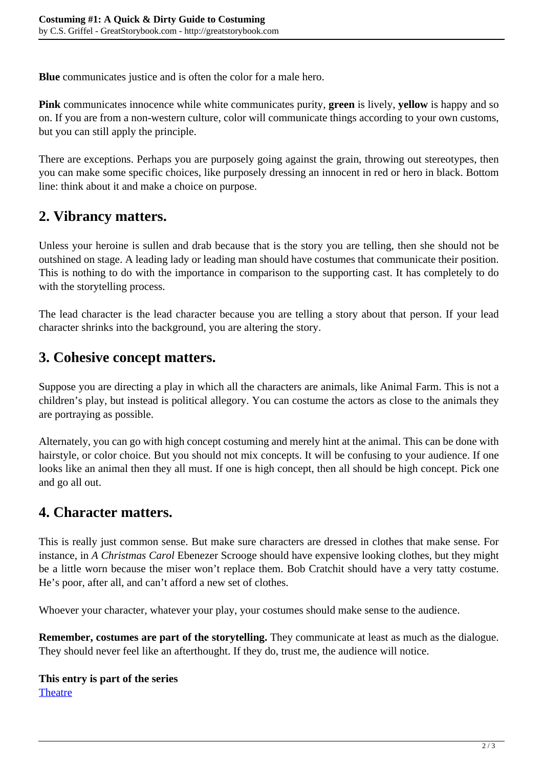**Blue** communicates justice and is often the color for a male hero.

**Pink** communicates innocence while white communicates purity, **green** is lively, **yellow** is happy and so on. If you are from a non-western culture, color will communicate things according to your own customs, but you can still apply the principle.

There are exceptions. Perhaps you are purposely going against the grain, throwing out stereotypes, then you can make some specific choices, like purposely dressing an innocent in red or hero in black. Bottom line: think about it and make a choice on purpose.

## **2. Vibrancy matters.**

Unless your heroine is sullen and drab because that is the story you are telling, then she should not be outshined on stage. A leading lady or leading man should have costumes that communicate their position. This is nothing to do with the importance in comparison to the supporting cast. It has completely to do with the storytelling process.

The lead character is the lead character because you are telling a story about that person. If your lead character shrinks into the background, you are altering the story.

### **3. Cohesive concept matters.**

Suppose you are directing a play in which all the characters are animals, like Animal Farm. This is not a children's play, but instead is political allegory. You can costume the actors as close to the animals they are portraying as possible.

Alternately, you can go with high concept costuming and merely hint at the animal. This can be done with hairstyle, or color choice. But you should not mix concepts. It will be confusing to your audience. If one looks like an animal then they all must. If one is high concept, then all should be high concept. Pick one and go all out.

### **4. Character matters.**

This is really just common sense. But make sure characters are dressed in clothes that make sense. For instance, in *A Christmas Carol* Ebenezer Scrooge should have expensive looking clothes, but they might be a little worn because the miser won't replace them. Bob Cratchit should have a very tatty costume. He's poor, after all, and can't afford a new set of clothes.

Whoever your character, whatever your play, your costumes should make sense to the audience.

**Remember, costumes are part of the storytelling.** They communicate at least as much as the dialogue. They should never feel like an afterthought. If they do, trust me, the audience will notice.

**This entry is part of the series [Theatre](http://greatstorybook.com/series/theatre/)**